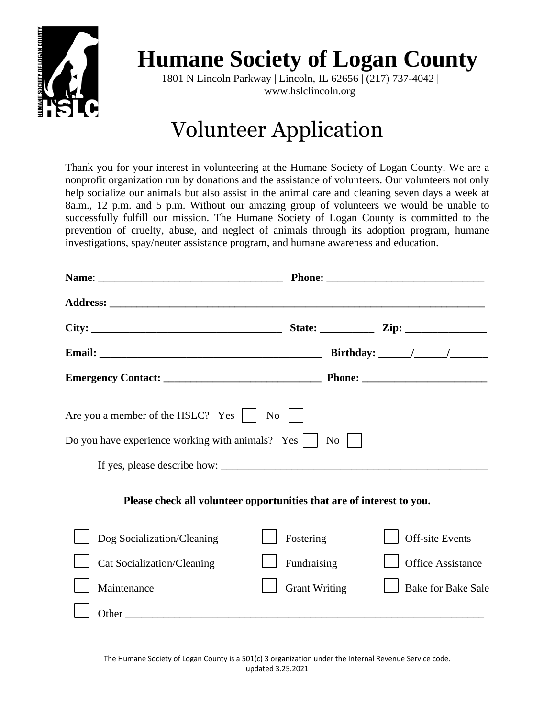

## **Humane Society of Logan County**

1801 N Lincoln Parkway | Lincoln, IL 62656 | (217) 737-4042 | www.hslclincoln.org

## Volunteer Application

Thank you for your interest in volunteering at the Humane Society of Logan County. We are a nonprofit organization run by donations and the assistance of volunteers. Our volunteers not only help socialize our animals but also assist in the animal care and cleaning seven days a week at 8a.m., 12 p.m. and 5 p.m. Without our amazing group of volunteers we would be unable to successfully fulfill our mission. The Humane Society of Logan County is committed to the prevention of cruelty, abuse, and neglect of animals through its adoption program, humane investigations, spay/neuter assistance program, and humane awareness and education.

|                                          |                                                                       | Birthday: $\frac{1}{\sqrt{1-\frac{1}{2}} \cdot \frac{1}{\sqrt{1-\frac{1}{2}} \cdot \frac{1}{\sqrt{1-\frac{1}{2}} \cdot \frac{1}{\sqrt{1-\frac{1}{2}} \cdot \frac{1}{\sqrt{1-\frac{1}{2}} \cdot \frac{1}{\sqrt{1-\frac{1}{2}} \cdot \frac{1}{\sqrt{1-\frac{1}{2}} \cdot \frac{1}{\sqrt{1-\frac{1}{2}} \cdot \frac{1}{\sqrt{1-\frac{1}{2}} \cdot \frac{1}{\sqrt{1-\frac{1}{2}} \cdot \frac{1}{\sqrt{1-\frac{1}{2}} \cdot \frac{1}{\sqrt{1-\frac{$ |
|------------------------------------------|-----------------------------------------------------------------------|-------------------------------------------------------------------------------------------------------------------------------------------------------------------------------------------------------------------------------------------------------------------------------------------------------------------------------------------------------------------------------------------------------------------------------------------------|
|                                          |                                                                       |                                                                                                                                                                                                                                                                                                                                                                                                                                                 |
| Are you a member of the HSLC? Yes     No |                                                                       |                                                                                                                                                                                                                                                                                                                                                                                                                                                 |
|                                          |                                                                       |                                                                                                                                                                                                                                                                                                                                                                                                                                                 |
|                                          |                                                                       |                                                                                                                                                                                                                                                                                                                                                                                                                                                 |
|                                          | Please check all volunteer opportunities that are of interest to you. |                                                                                                                                                                                                                                                                                                                                                                                                                                                 |
| Dog Socialization/Cleaning               | Fostering                                                             | Off-site Events                                                                                                                                                                                                                                                                                                                                                                                                                                 |
| Cat Socialization/Cleaning               | Fundraising                                                           | <b>Office Assistance</b>                                                                                                                                                                                                                                                                                                                                                                                                                        |
| Maintenance                              | <b>Grant Writing</b>                                                  | <b>Bake for Bake Sale</b>                                                                                                                                                                                                                                                                                                                                                                                                                       |
|                                          |                                                                       |                                                                                                                                                                                                                                                                                                                                                                                                                                                 |